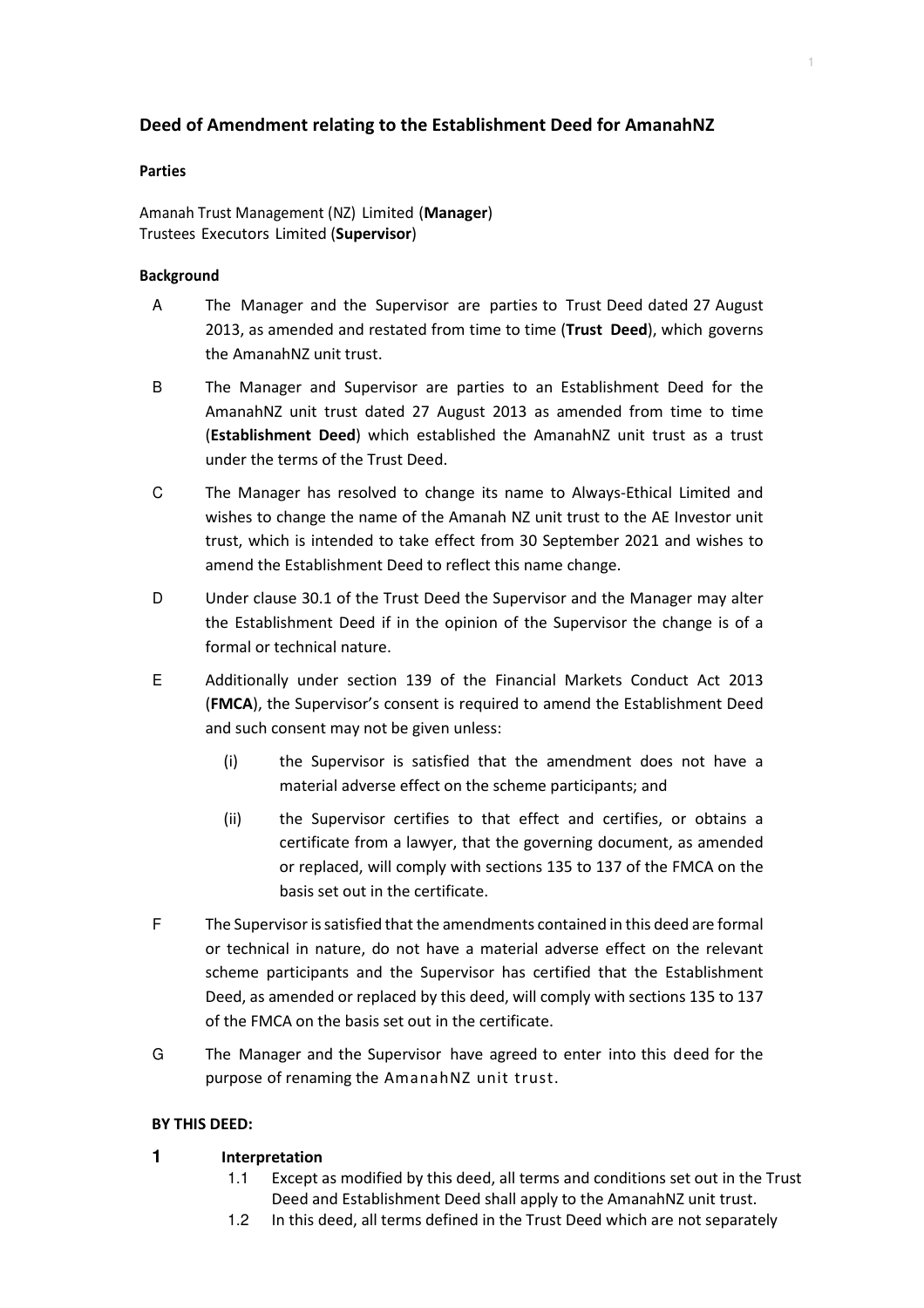# **Deed of Amendment relating to the Establishment Deed for AmanahNZ**

1

#### **Parties**

Amanah Trust Management (NZ) Limited (**Manager**) Trustees Executors Limited (**Supervisor**)

### **Background**

- A The Manager and the Supervisor are parties to Trust Deed dated 27 August 2013, as amended and restated from time to time (**Trust Deed**), which governs the AmanahNZ unit trust.
- B The Manager and Supervisor are parties to an Establishment Deed for the AmanahNZ unit trust dated 27 August 2013 as amended from time to time (**Establishment Deed**) which established the AmanahNZ unit trust as a trust under the terms of the Trust Deed.
- C The Manager has resolved to change its name to Always-Ethical Limited and wishes to change the name of the Amanah NZ unit trust to the AE Investor unit trust, which is intended to take effect from 30 September 2021 and wishes to amend the Establishment Deed to reflect this name change.
- D Under clause 30.1 of the Trust Deed the Supervisor and the Manager may alter the Establishment Deed if in the opinion of the Supervisor the change is of a formal or technical nature.
- E Additionally under section 139 of the Financial Markets Conduct Act 2013 (**FMCA**), the Supervisor's consent is required to amend the Establishment Deed and such consent may not be given unless:
	- (i) the Supervisor is satisfied that the amendment does not have a material adverse effect on the scheme participants; and
	- (ii) the Supervisor certifies to that effect and certifies, or obtains a certificate from a lawyer, that the governing document, as amended or replaced, will comply with sections 135 to 137 of the FMCA on the basis set out in the certificate.
- F The Supervisor is satisfied that the amendments contained in this deed are formal or technical in nature, do not have a material adverse effect on the relevant scheme participants and the Supervisor has certified that the Establishment Deed, as amended or replaced by this deed, will comply with sections 135 to 137 of the FMCA on the basis set out in the certificate.
- G The Manager and the Supervisor have agreed to enter into this deed for the purpose of renaming the AmanahNZ unit trust.

### **BY THIS DEED:**

### **1 Interpretation**

- 1.1 Except as modified by this deed, all terms and conditions set out in the Trust Deed and Establishment Deed shall apply to the AmanahNZ unit trust.
- 1.2 In this deed, all terms defined in the Trust Deed which are not separately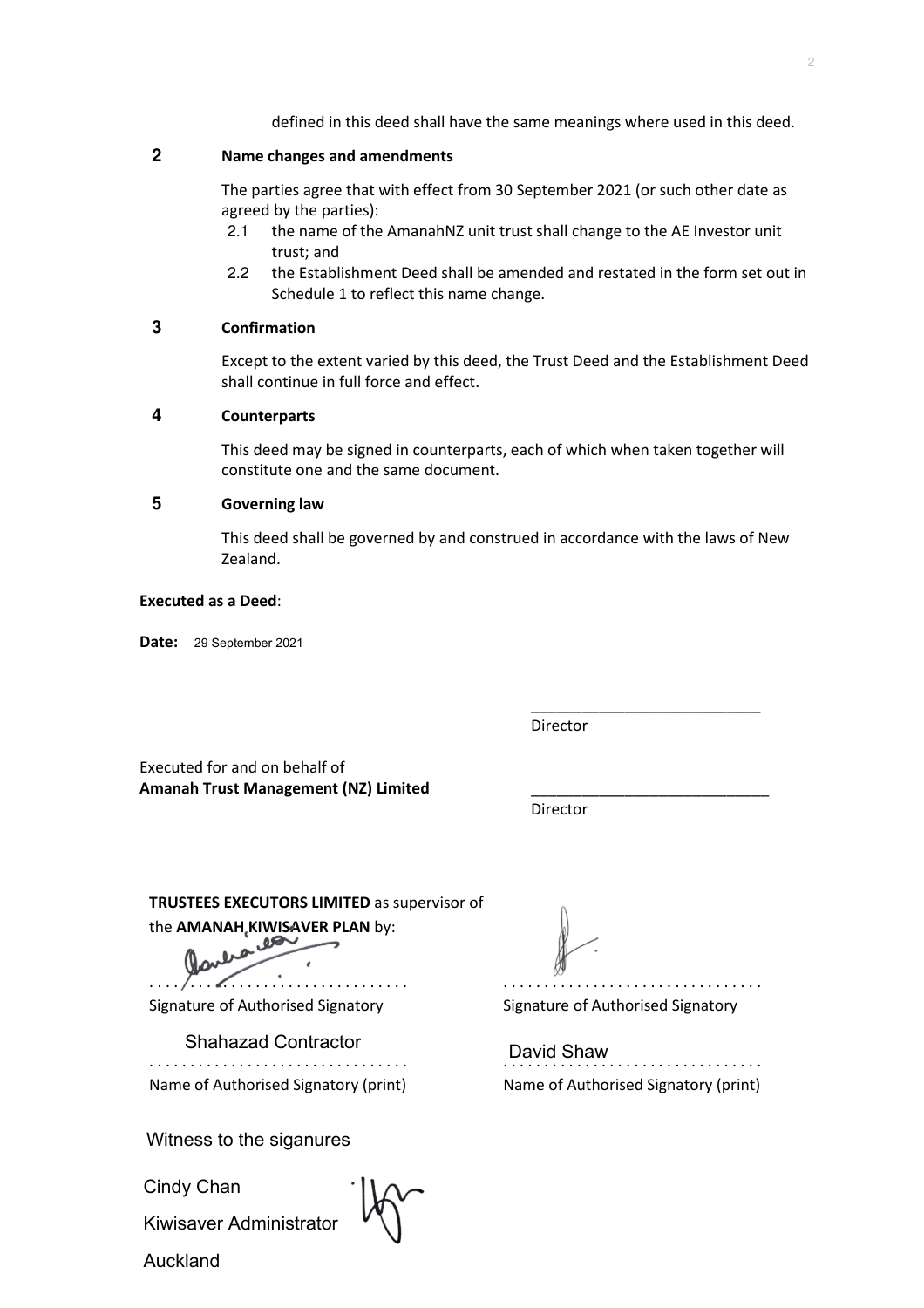defined in this deed shall have the same meanings where used in this deed.

# **2 Name changes and amendments**

The parties agree that with effect from 30 September 2021 (or such other date as agreed by the parties):

- 2.1 the name of the AmanahNZ unit trust shall change to the AE Investor unit trust; and
- 2.2 the Establishment Deed shall be amended and restated in the form set out in Schedule 1 to reflect this name change.

### **3 Confirmation**

Except to the extent varied by this deed, the Trust Deed and the Establishment Deed shall continue in full force and effect.

# **4 Counterparts**

This deed may be signed in counterparts, each of which when taken together will constitute one and the same document.

# **5 Governing law**

This deed shall be governed by and construed in accordance with the laws of New Zealand.

\_\_\_\_\_\_\_\_\_\_\_\_\_\_\_\_\_\_\_\_\_\_\_\_\_\_\_

#### **Executed as a Deed**:

**Date:**  29 September 2021

Director

Executed for and on behalf of **Amanah Trust Management (NZ) Limited** \_\_\_\_\_\_\_\_\_\_\_\_\_\_\_\_\_\_\_\_\_\_\_\_\_\_\_\_

Director

**TRUSTEES EXECUTORS LIMITED** as supervisor of the **AMANAH, KIWISAVER PLAN** by:

. . . . . . . . . . . . . . . . . . . . . . . . . . . . . . . .

Signature of Authorised Signatory

. . . . . . . . . . . . . . . . . . . . . . . . . . . . . . . . Name of Authorised Signatory (print) Shahazad Contractor

Witness to the siganures

Cindy Chan

Kiwisaver Administrator

Auckland

. . . . . . . . . . . . . . . . . . . . . . . . . . . . . . . .

Signature of Authorised Signatory

David Shaw<br>.................................. Name of Authorised Signatory (print)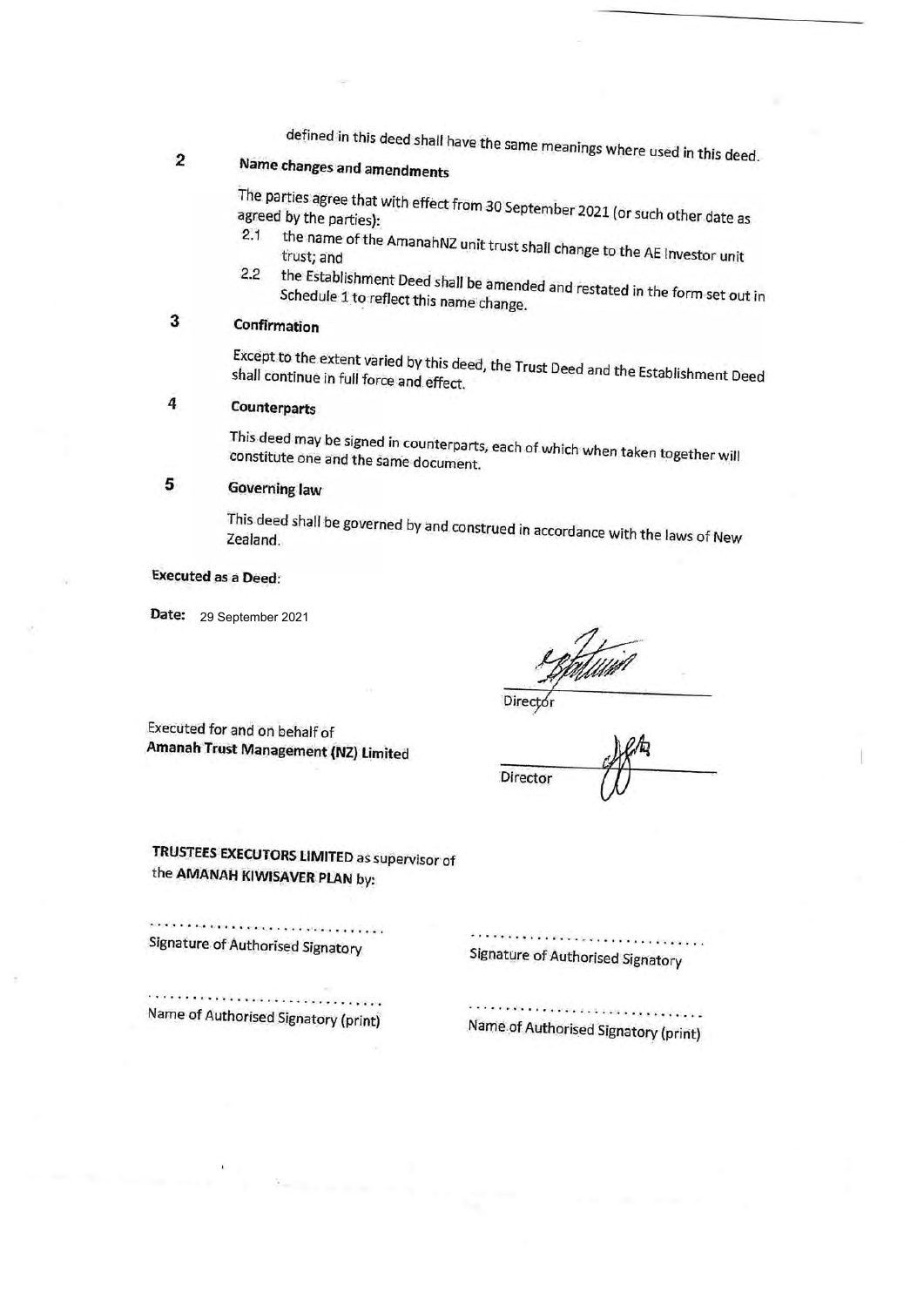defined in this deed shall have the same meanings where used in this deed.

#### **Name changes and amendments 2**

agreed The parties by the agree <sup>ree that with effect from 30 September 2021 (or such other date as<br>parties):</sup> 2.1

- trust; the name <sup>irne</sup> of the AmanahNZ unit trust shall change to the AE Investor unit<br>and 2.2
- Schedule the Establishment Deed shall be amended and restated in the form set out in 1 to reflect this name change.

# **3 Confirmation**

shall Except continue to the extent <sup>sxtent</sup> varied by this deed, the Trust Deed and the Establishment Deed<br>in full force and effect shall continue in full force and effect.

# **<sup>4</sup> Counterparts**

This constitute deed may be signed in counterparts, each of which when taken together will one and the same document.

# **<sup>5</sup> Governing law**

This This deed shall be governed by and construed in accordance with the laws of New<br>Zealand.

#### **Executed** as <sup>a</sup> **Deed:**

**Date:** 29 September 2021

*W\**

Directó

**Director** 

Executed for and on behalf of **Amanah Trust Management (NZ) Limited** *<sup>a</sup>*

**TRUSTEES EXECUTORS LIMITED** as supervisor of the **AMANAH KIWISAVER PLAN** by:

,,,,,,,,,,,,,,,,,,,,,,,,,,,,,,,,,, Signature of Authorised Signatory

Signature of Authorised Signatory

Name of Authorised Signatory (print)

Name of Authorised Signatory (print)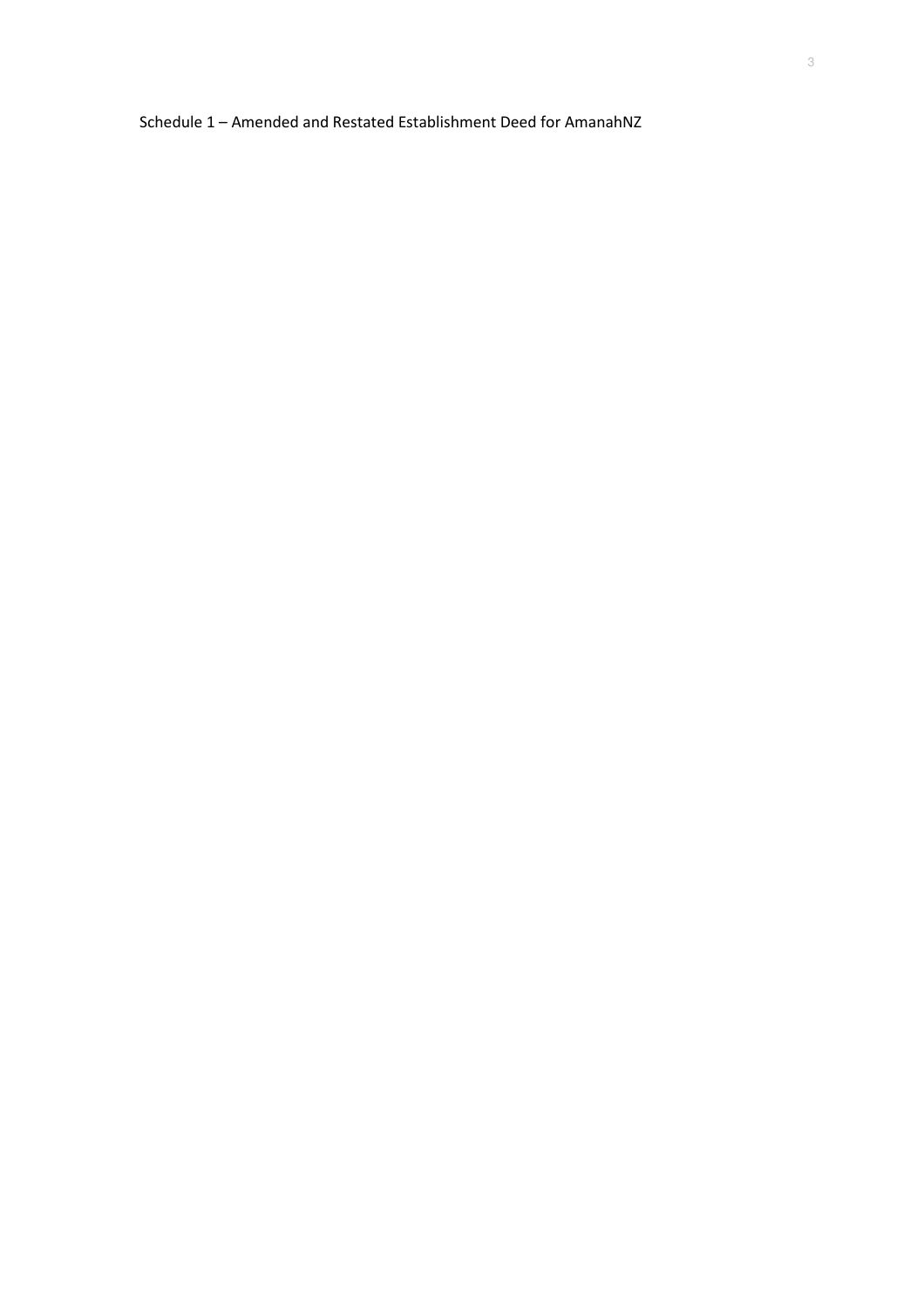Schedule 1 – Amended and Restated Establishment Deed for AmanahNZ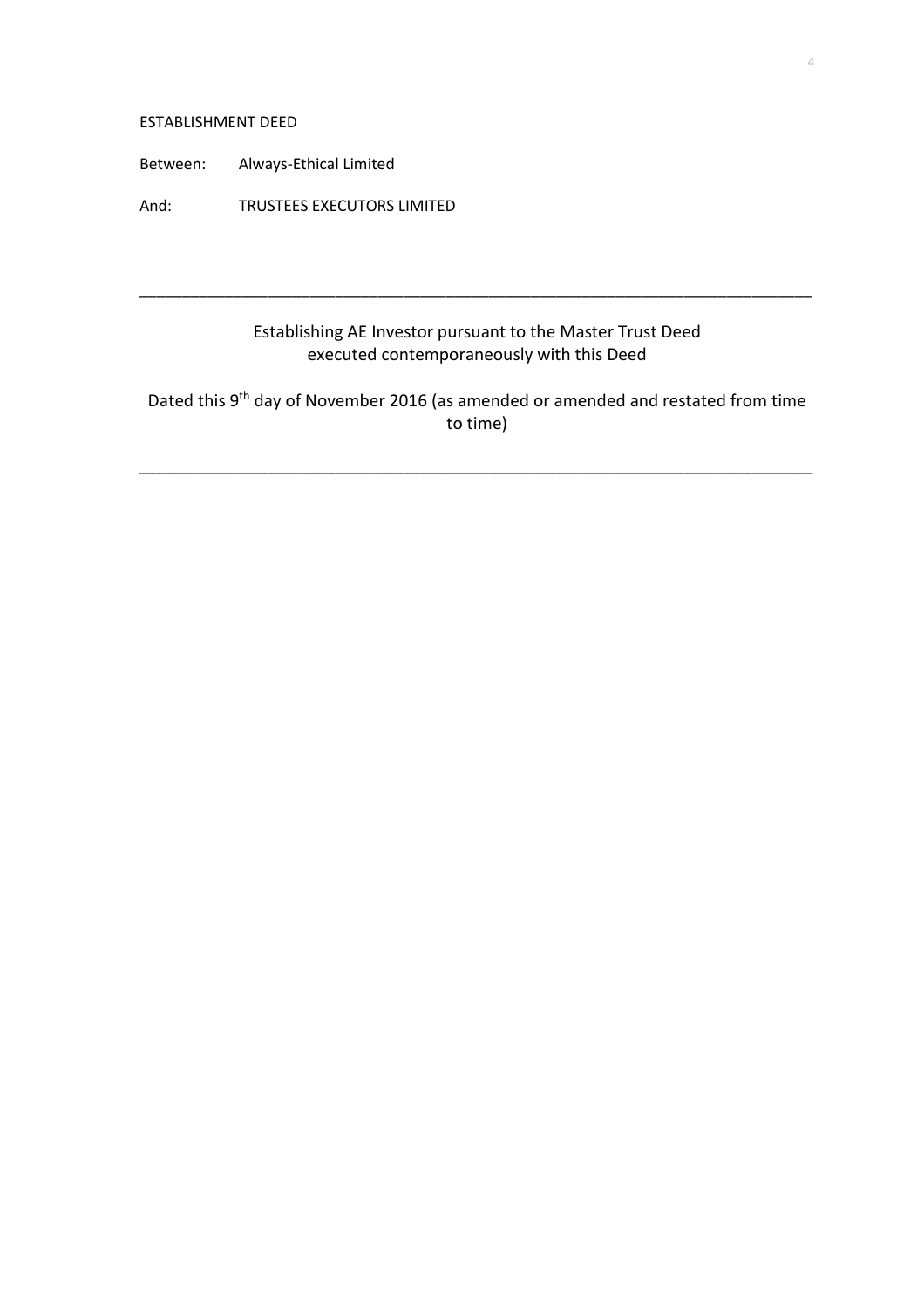#### ESTABLISHMENT DEED

Between: Always-Ethical Limited

And: TRUSTEES EXECUTORS LIMITED

# Establishing AE Investor pursuant to the Master Trust Deed executed contemporaneously with this Deed

\_\_\_\_\_\_\_\_\_\_\_\_\_\_\_\_\_\_\_\_\_\_\_\_\_\_\_\_\_\_\_\_\_\_\_\_\_\_\_\_\_\_\_\_\_\_\_\_\_\_\_\_\_\_\_\_\_\_\_\_\_\_\_\_\_\_\_\_\_\_\_\_\_\_\_\_\_\_\_

Dated this 9<sup>th</sup> day of November 2016 (as amended or amended and restated from time to time)

\_\_\_\_\_\_\_\_\_\_\_\_\_\_\_\_\_\_\_\_\_\_\_\_\_\_\_\_\_\_\_\_\_\_\_\_\_\_\_\_\_\_\_\_\_\_\_\_\_\_\_\_\_\_\_\_\_\_\_\_\_\_\_\_\_\_\_\_\_\_\_\_\_\_\_\_\_\_\_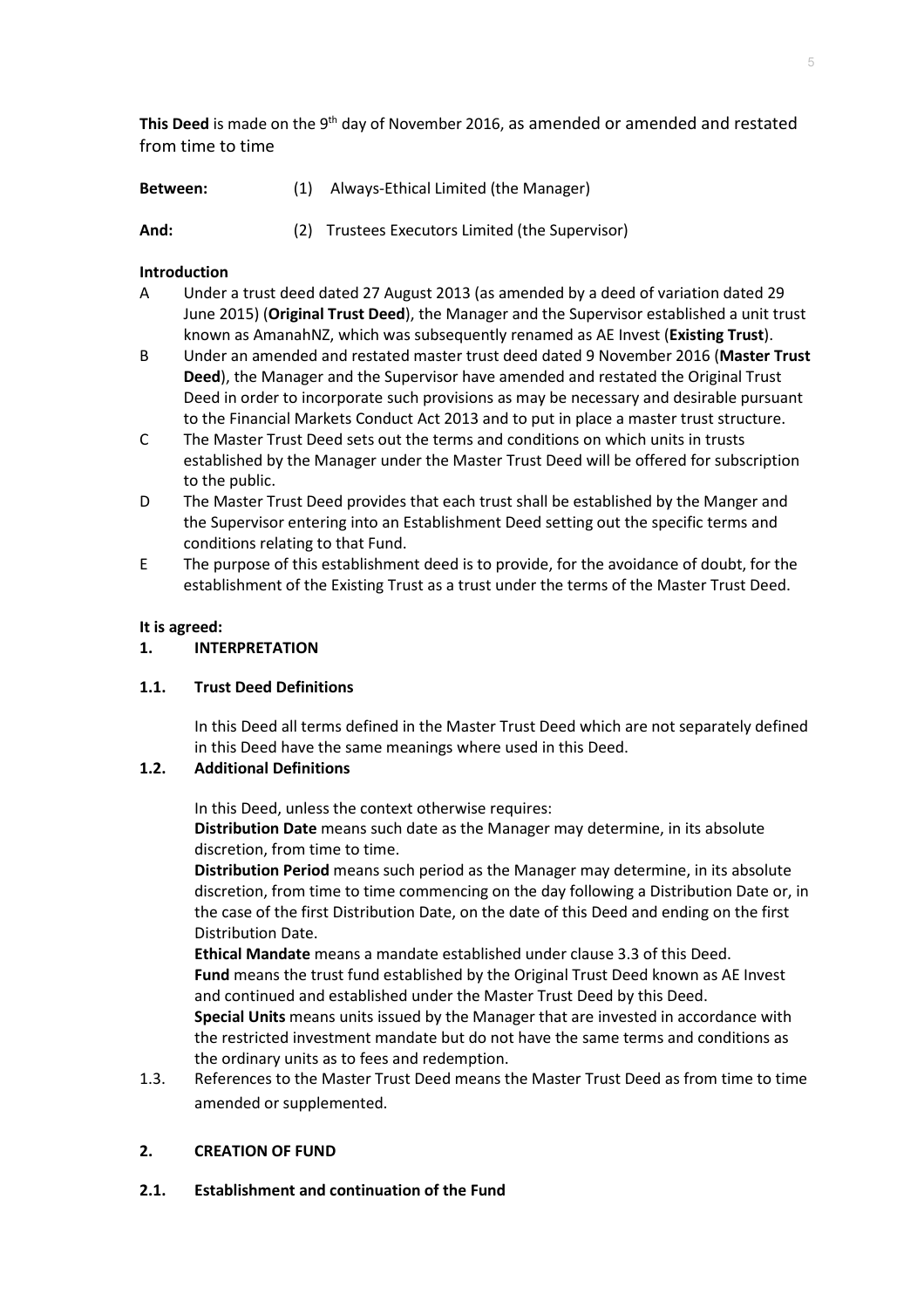This Deed is made on the 9<sup>th</sup> day of November 2016, as amended or amended and restated from time to time

| Between: | (1) Always-Ethical Limited (the Manager) |
|----------|------------------------------------------|
|          |                                          |

**And:** (2) Trustees Executors Limited (the Supervisor)

# **Introduction**

- A Under a trust deed dated 27 August 2013 (as amended by a deed of variation dated 29 June 2015) (**Original Trust Deed**), the Manager and the Supervisor established a unit trust known as AmanahNZ, which was subsequently renamed as AE Invest (**Existing Trust**).
- B Under an amended and restated master trust deed dated 9 November 2016 (**Master Trust Deed**), the Manager and the Supervisor have amended and restated the Original Trust Deed in order to incorporate such provisions as may be necessary and desirable pursuant to the Financial Markets Conduct Act 2013 and to put in place a master trust structure.
- C The Master Trust Deed sets out the terms and conditions on which units in trusts established by the Manager under the Master Trust Deed will be offered for subscription to the public.
- D The Master Trust Deed provides that each trust shall be established by the Manger and the Supervisor entering into an Establishment Deed setting out the specific terms and conditions relating to that Fund.
- E The purpose of this establishment deed is to provide, for the avoidance of doubt, for the establishment of the Existing Trust as a trust under the terms of the Master Trust Deed.

# **It is agreed:**

# **1. INTERPRETATION**

# **1.1. Trust Deed Definitions**

In this Deed all terms defined in the Master Trust Deed which are not separately defined in this Deed have the same meanings where used in this Deed.

# **1.2. Additional Definitions**

In this Deed, unless the context otherwise requires:

**Distribution Date** means such date as the Manager may determine, in its absolute discretion, from time to time.

**Distribution Period** means such period as the Manager may determine, in its absolute discretion, from time to time commencing on the day following a Distribution Date or, in the case of the first Distribution Date, on the date of this Deed and ending on the first Distribution Date.

**Ethical Mandate** means a mandate established under clause 3.3 of this Deed. **Fund** means the trust fund established by the Original Trust Deed known as AE Invest and continued and established under the Master Trust Deed by this Deed. **Special Units** means units issued by the Manager that are invested in accordance with

the restricted investment mandate but do not have the same terms and conditions as the ordinary units as to fees and redemption.

1.3. References to the Master Trust Deed means the Master Trust Deed as from time to time amended or supplemented.

# **2. CREATION OF FUND**

**2.1. Establishment and continuation of the Fund**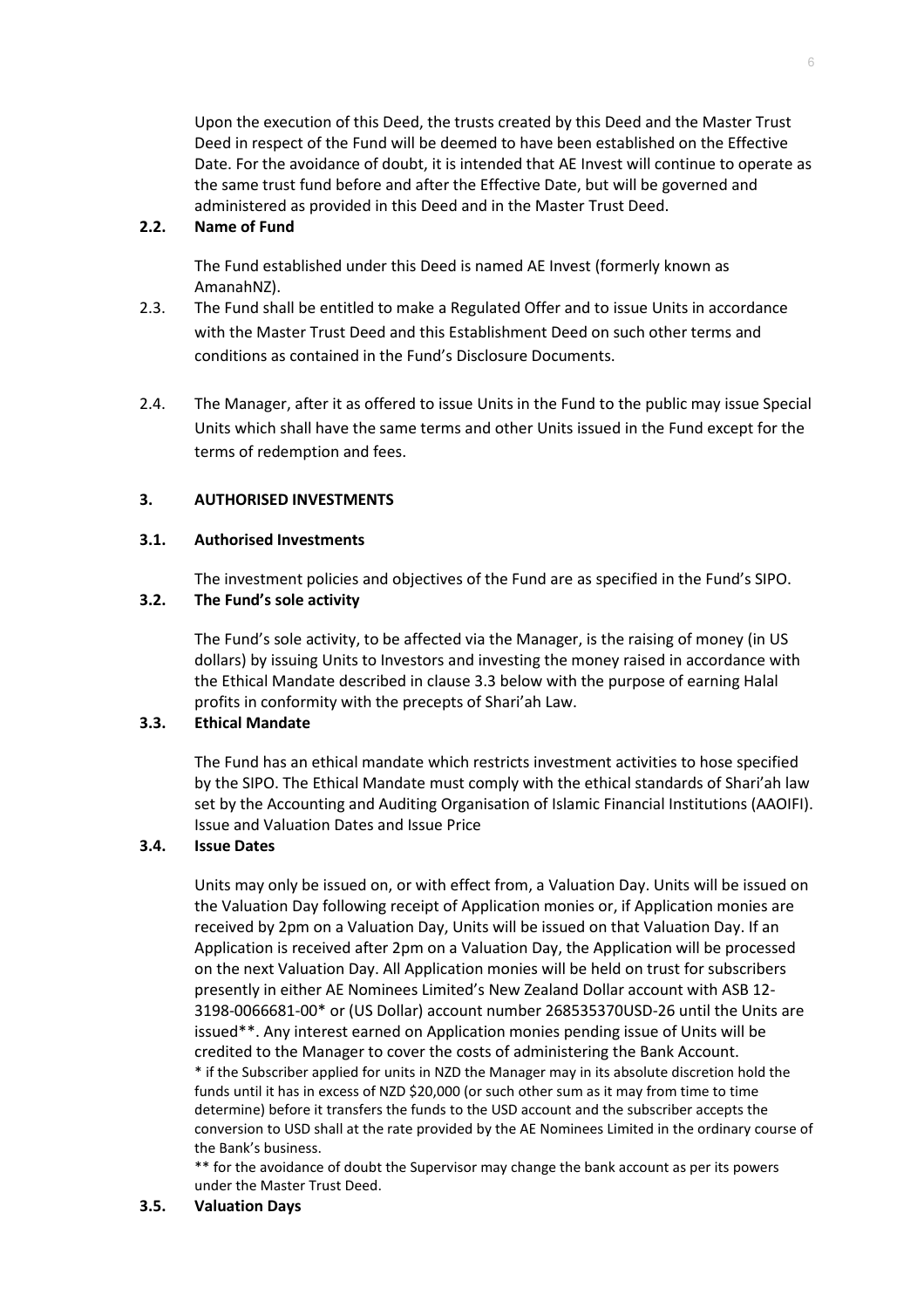Upon the execution of this Deed, the trusts created by this Deed and the Master Trust Deed in respect of the Fund will be deemed to have been established on the Effective Date. For the avoidance of doubt, it is intended that AE Invest will continue to operate as the same trust fund before and after the Effective Date, but will be governed and administered as provided in this Deed and in the Master Trust Deed.

# **2.2. Name of Fund**

The Fund established under this Deed is named AE Invest (formerly known as AmanahNZ).

- 2.3. The Fund shall be entitled to make a Regulated Offer and to issue Units in accordance with the Master Trust Deed and this Establishment Deed on such other terms and conditions as contained in the Fund's Disclosure Documents.
- 2.4. The Manager, after it as offered to issue Units in the Fund to the public may issue Special Units which shall have the same terms and other Units issued in the Fund except for the terms of redemption and fees.

# **3. AUTHORISED INVESTMENTS**

### **3.1. Authorised Investments**

The investment policies and objectives of the Fund are as specified in the Fund's SIPO.

# **3.2. The Fund's sole activity**

The Fund's sole activity, to be affected via the Manager, is the raising of money (in US dollars) by issuing Units to Investors and investing the money raised in accordance with the Ethical Mandate described in clause 3.3 below with the purpose of earning Halal profits in conformity with the precepts of Shari'ah Law.

# **3.3. Ethical Mandate**

The Fund has an ethical mandate which restricts investment activities to hose specified by the SIPO. The Ethical Mandate must comply with the ethical standards of Shari'ah law set by the Accounting and Auditing Organisation of Islamic Financial Institutions (AAOIFI). Issue and Valuation Dates and Issue Price

### **3.4. Issue Dates**

Units may only be issued on, or with effect from, a Valuation Day. Units will be issued on the Valuation Day following receipt of Application monies or, if Application monies are received by 2pm on a Valuation Day, Units will be issued on that Valuation Day. If an Application is received after 2pm on a Valuation Day, the Application will be processed on the next Valuation Day. All Application monies will be held on trust for subscribers presently in either AE Nominees Limited's New Zealand Dollar account with ASB 12- 3198-0066681-00\* or (US Dollar) account number 268535370USD-26 until the Units are issued\*\*. Any interest earned on Application monies pending issue of Units will be credited to the Manager to cover the costs of administering the Bank Account. \* if the Subscriber applied for units in NZD the Manager may in its absolute discretion hold the funds until it has in excess of NZD \$20,000 (or such other sum as it may from time to time determine) before it transfers the funds to the USD account and the subscriber accepts the conversion to USD shall at the rate provided by the AE Nominees Limited in the ordinary course of the Bank's business.

\*\* for the avoidance of doubt the Supervisor may change the bank account as per its powers under the Master Trust Deed.

### **3.5. Valuation Days**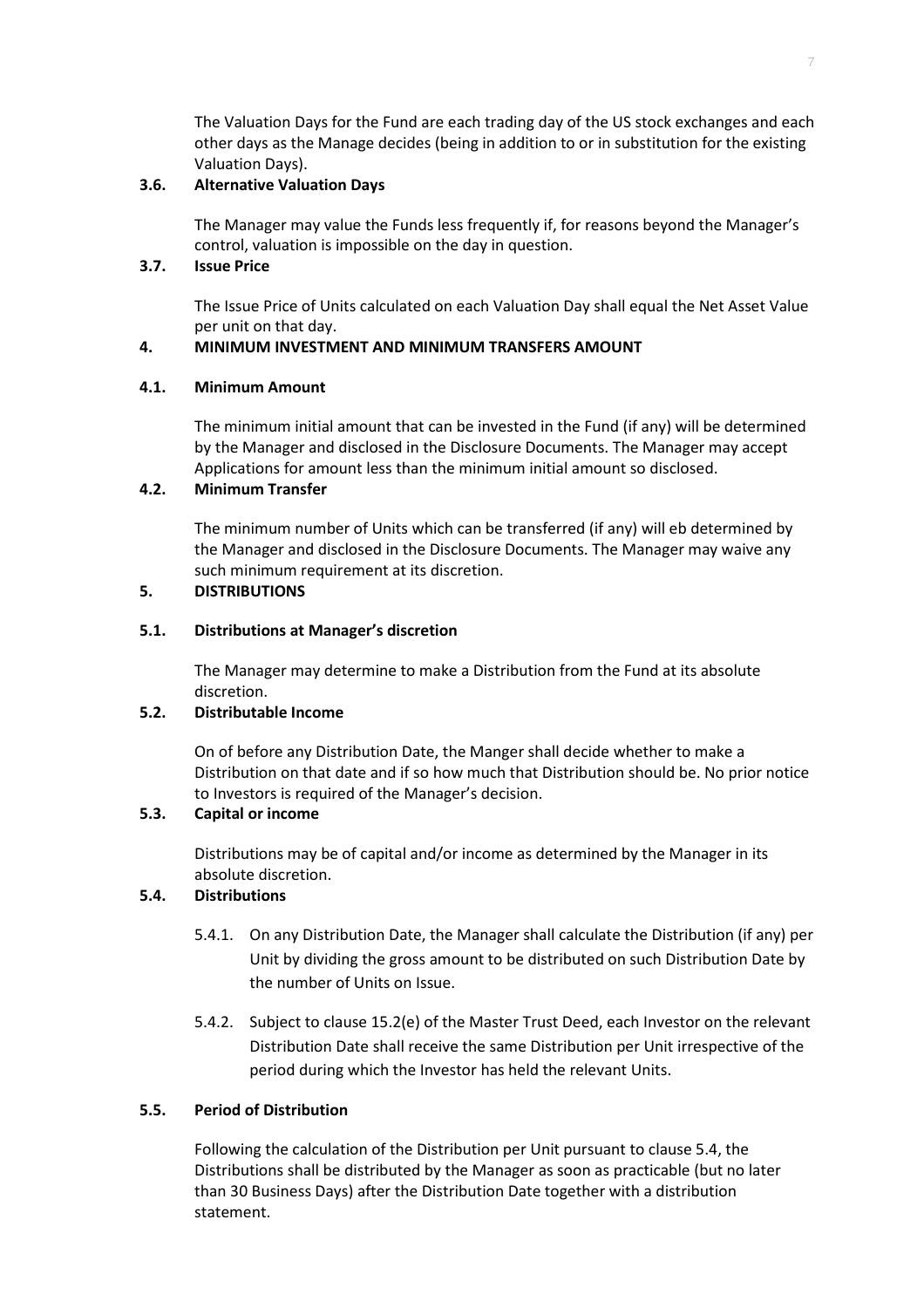The Valuation Days for the Fund are each trading day of the US stock exchanges and each other days as the Manage decides (being in addition to or in substitution for the existing Valuation Days).

# **3.6. Alternative Valuation Days**

The Manager may value the Funds less frequently if, for reasons beyond the Manager's control, valuation is impossible on the day in question.

# **3.7. Issue Price**

The Issue Price of Units calculated on each Valuation Day shall equal the Net Asset Value per unit on that day.

# **4. MINIMUM INVESTMENT AND MINIMUM TRANSFERS AMOUNT**

# **4.1. Minimum Amount**

The minimum initial amount that can be invested in the Fund (if any) will be determined by the Manager and disclosed in the Disclosure Documents. The Manager may accept Applications for amount less than the minimum initial amount so disclosed.

# **4.2. Minimum Transfer**

The minimum number of Units which can be transferred (if any) will eb determined by the Manager and disclosed in the Disclosure Documents. The Manager may waive any such minimum requirement at its discretion.

# **5. DISTRIBUTIONS**

# **5.1. Distributions at Manager's discretion**

The Manager may determine to make a Distribution from the Fund at its absolute discretion.

# **5.2. Distributable Income**

On of before any Distribution Date, the Manger shall decide whether to make a Distribution on that date and if so how much that Distribution should be. No prior notice to Investors is required of the Manager's decision.

# **5.3. Capital or income**

Distributions may be of capital and/or income as determined by the Manager in its absolute discretion.

# **5.4. Distributions**

- 5.4.1. On any Distribution Date, the Manager shall calculate the Distribution (if any) per Unit by dividing the gross amount to be distributed on such Distribution Date by the number of Units on Issue.
- 5.4.2. Subject to clause 15.2(e) of the Master Trust Deed, each Investor on the relevant Distribution Date shall receive the same Distribution per Unit irrespective of the period during which the Investor has held the relevant Units.

# **5.5. Period of Distribution**

Following the calculation of the Distribution per Unit pursuant to clause 5.4, the Distributions shall be distributed by the Manager as soon as practicable (but no later than 30 Business Days) after the Distribution Date together with a distribution statement.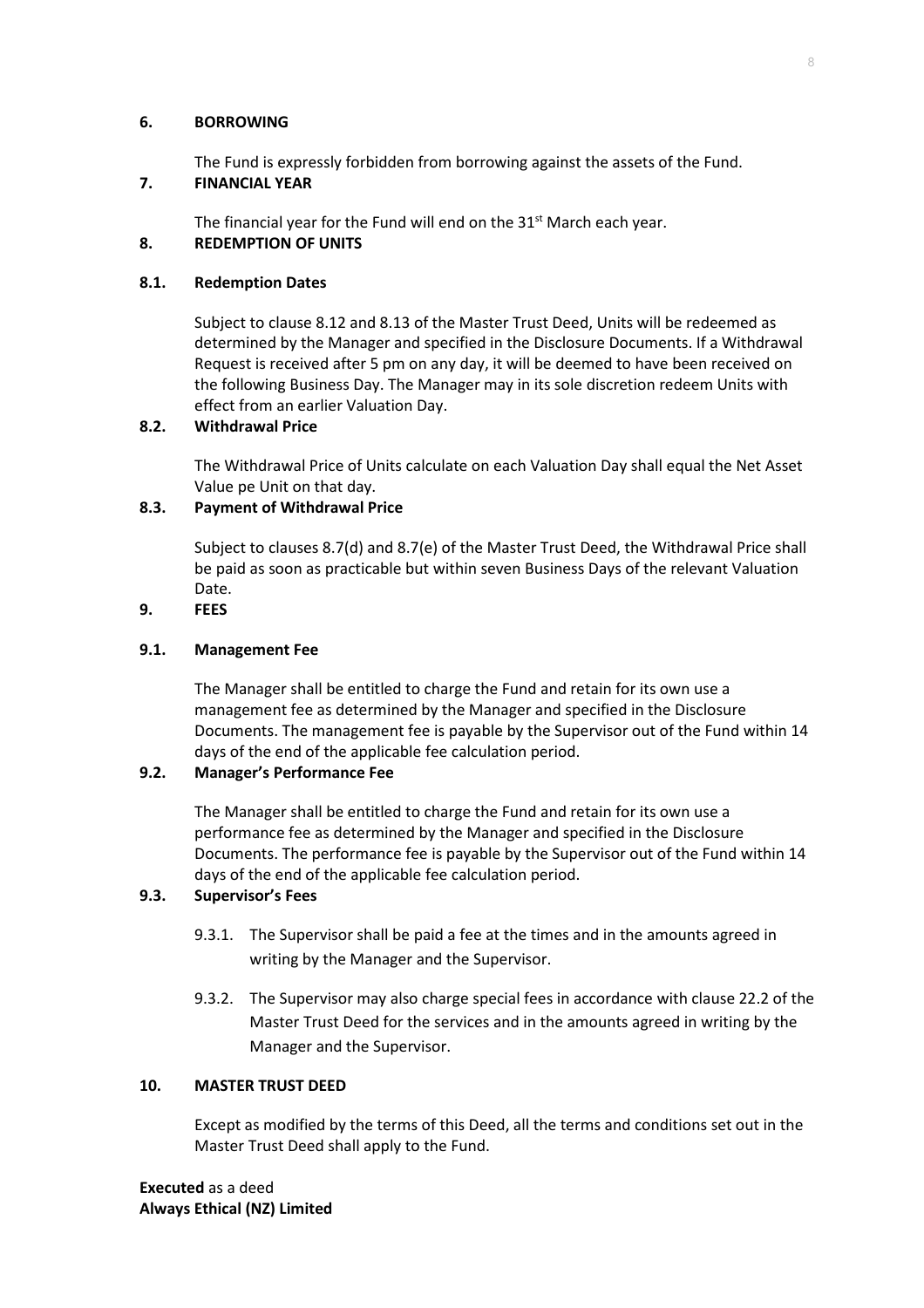#### **6. BORROWING**

The Fund is expressly forbidden from borrowing against the assets of the Fund.

# **7. FINANCIAL YEAR**

The financial year for the Fund will end on the  $31<sup>st</sup>$  March each year.

# **8. REDEMPTION OF UNITS**

# **8.1. Redemption Dates**

Subject to clause 8.12 and 8.13 of the Master Trust Deed, Units will be redeemed as determined by the Manager and specified in the Disclosure Documents. If a Withdrawal Request is received after 5 pm on any day, it will be deemed to have been received on the following Business Day. The Manager may in its sole discretion redeem Units with effect from an earlier Valuation Day.

# **8.2. Withdrawal Price**

The Withdrawal Price of Units calculate on each Valuation Day shall equal the Net Asset Value pe Unit on that day.

# **8.3. Payment of Withdrawal Price**

Subject to clauses 8.7(d) and 8.7(e) of the Master Trust Deed, the Withdrawal Price shall be paid as soon as practicable but within seven Business Days of the relevant Valuation Date.

# **9. FEES**

# **9.1. Management Fee**

The Manager shall be entitled to charge the Fund and retain for its own use a management fee as determined by the Manager and specified in the Disclosure Documents. The management fee is payable by the Supervisor out of the Fund within 14 days of the end of the applicable fee calculation period.

# **9.2. Manager's Performance Fee**

The Manager shall be entitled to charge the Fund and retain for its own use a performance fee as determined by the Manager and specified in the Disclosure Documents. The performance fee is payable by the Supervisor out of the Fund within 14 days of the end of the applicable fee calculation period.

# **9.3. Supervisor's Fees**

- 9.3.1. The Supervisor shall be paid a fee at the times and in the amounts agreed in writing by the Manager and the Supervisor.
- 9.3.2. The Supervisor may also charge special fees in accordance with clause 22.2 of the Master Trust Deed for the services and in the amounts agreed in writing by the Manager and the Supervisor.

### **10. MASTER TRUST DEED**

Except as modified by the terms of this Deed, all the terms and conditions set out in the Master Trust Deed shall apply to the Fund.